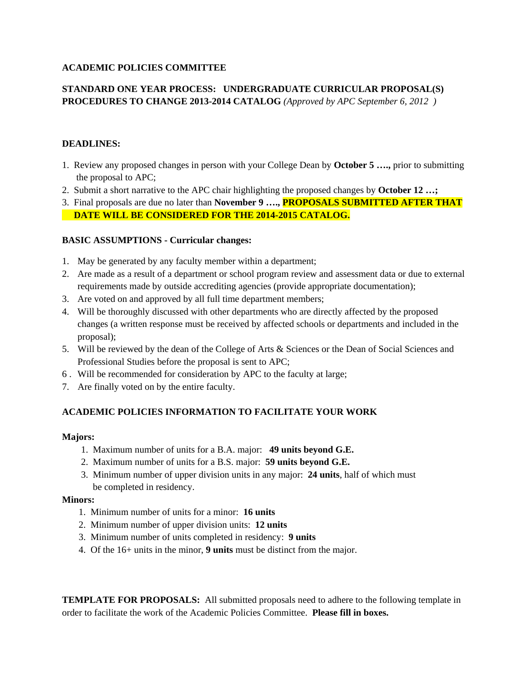## **ACADEMIC POLICIES COMMITTEE**

## **STANDARD ONE YEAR PROCESS: UNDERGRADUATE CURRICULAR PROPOSAL(S) PROCEDURES TO CHANGE 2013-2014 CATALOG** *(Approved by APC September 6, 2012 )*

#### **DEADLINES:**

- 1. Review any proposed changes in person with your College Dean by **October 5 ….,** prior to submitting the proposal to APC;
- 2. Submit a short narrative to the APC chair highlighting the proposed changes by **October 12 …;**
- 3. Final proposals are due no later than **November 9 …., PROPOSALS SUBMITTED AFTER THAT DATE WILL BE CONSIDERED FOR THE 2014-2015 CATALOG.**

#### **BASIC ASSUMPTIONS - Curricular changes:**

- 1. May be generated by any faculty member within a department;
- 2. Are made as a result of a department or school program review and assessment data or due to external requirements made by outside accrediting agencies (provide appropriate documentation);
- 3. Are voted on and approved by all full time department members;
- 4. Will be thoroughly discussed with other departments who are directly affected by the proposed changes (a written response must be received by affected schools or departments and included in the proposal);
- 5. Will be reviewed by the dean of the College of Arts & Sciences or the Dean of Social Sciences and Professional Studies before the proposal is sent to APC;
- 6 . Will be recommended for consideration by APC to the faculty at large;
- 7. Are finally voted on by the entire faculty.

## **ACADEMIC POLICIES INFORMATION TO FACILITATE YOUR WORK**

#### **Majors:**

- 1. Maximum number of units for a B.A. major: **49 units beyond G.E.**
- 2. Maximum number of units for a B.S. major: **59 units beyond G.E.**
- 3. Minimum number of upper division units in any major: **24 units**, half of which must be completed in residency.

#### **Minors:**

- 1. Minimum number of units for a minor: **16 units**
- 2. Minimum number of upper division units: **12 units**
- 3. Minimum number of units completed in residency: **9 units**
- 4. Of the 16+ units in the minor, **9 units** must be distinct from the major.

**TEMPLATE FOR PROPOSALS:** All submitted proposals need to adhere to the following template in order to facilitate the work of the Academic Policies Committee. **Please fill in boxes.**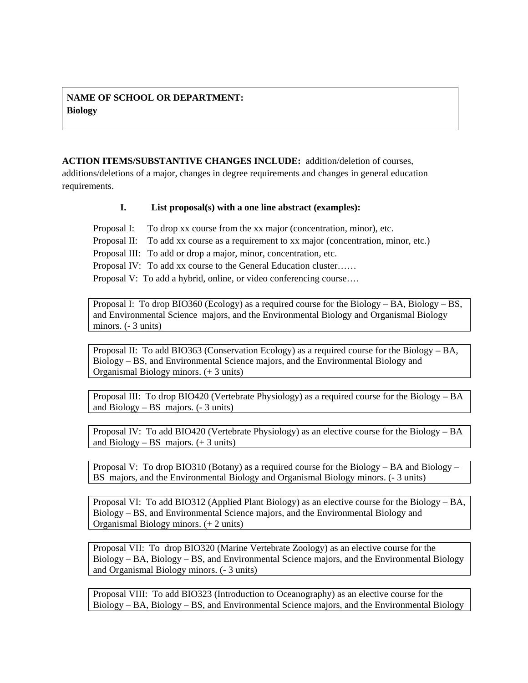## **NAME OF SCHOOL OR DEPARTMENT: Biology**

**ACTION ITEMS/SUBSTANTIVE CHANGES INCLUDE:** addition/deletion of courses, additions/deletions of a major, changes in degree requirements and changes in general education requirements.

## **I. List proposal(s) with a one line abstract (examples):**

Proposal I: To drop xx course from the xx major (concentration, minor), etc. Proposal II: To add xx course as a requirement to xx major (concentration, minor, etc.) Proposal III: To add or drop a major, minor, concentration, etc. Proposal IV: To add xx course to the General Education cluster…… Proposal V: To add a hybrid, online, or video conferencing course….

Proposal I: To drop BIO360 (Ecology) as a required course for the Biology – BA, Biology – BS, and Environmental Science majors, and the Environmental Biology and Organismal Biology minors. (- 3 units)

Proposal II: To add BIO363 (Conservation Ecology) as a required course for the Biology – BA, Biology – BS, and Environmental Science majors, and the Environmental Biology and Organismal Biology minors. (+ 3 units)

Proposal III: To drop BIO420 (Vertebrate Physiology) as a required course for the Biology – BA and Biology – BS majors. (- 3 units)

Proposal IV: To add BIO420 (Vertebrate Physiology) as an elective course for the Biology – BA and Biology – BS majors.  $(+ 3 \text{ units})$ 

Proposal V: To drop BIO310 (Botany) as a required course for the Biology – BA and Biology – BS majors, and the Environmental Biology and Organismal Biology minors. (- 3 units)

Proposal VI: To add BIO312 (Applied Plant Biology) as an elective course for the Biology – BA, Biology – BS, and Environmental Science majors, and the Environmental Biology and Organismal Biology minors. (+ 2 units)

Proposal VII: To drop BIO320 (Marine Vertebrate Zoology) as an elective course for the Biology – BA, Biology – BS, and Environmental Science majors, and the Environmental Biology and Organismal Biology minors. (- 3 units)

Proposal VIII: To add BIO323 (Introduction to Oceanography) as an elective course for the Biology – BA, Biology – BS, and Environmental Science majors, and the Environmental Biology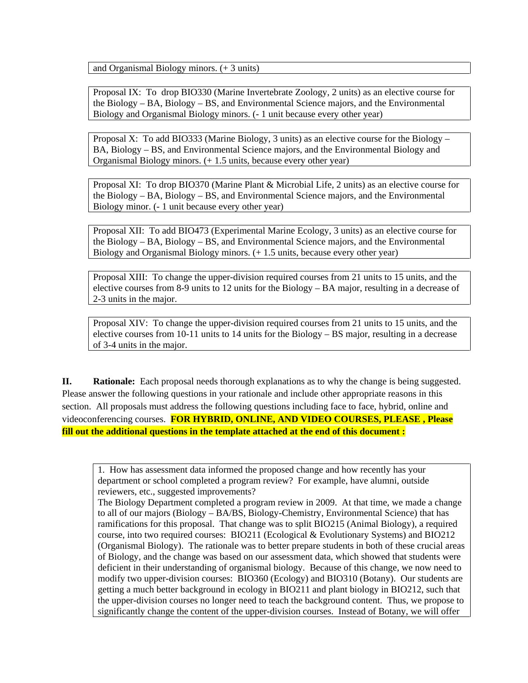and Organismal Biology minors. (+ 3 units)

Proposal IX: To drop BIO330 (Marine Invertebrate Zoology, 2 units) as an elective course for the Biology – BA, Biology – BS, and Environmental Science majors, and the Environmental Biology and Organismal Biology minors. (- 1 unit because every other year)

Proposal X: To add BIO333 (Marine Biology, 3 units) as an elective course for the Biology – BA, Biology – BS, and Environmental Science majors, and the Environmental Biology and Organismal Biology minors. (+ 1.5 units, because every other year)

Proposal XI: To drop BIO370 (Marine Plant & Microbial Life, 2 units) as an elective course for the Biology – BA, Biology – BS, and Environmental Science majors, and the Environmental Biology minor. (- 1 unit because every other year)

Proposal XII: To add BIO473 (Experimental Marine Ecology, 3 units) as an elective course for the Biology – BA, Biology – BS, and Environmental Science majors, and the Environmental Biology and Organismal Biology minors. (+ 1.5 units, because every other year)

Proposal XIII: To change the upper-division required courses from 21 units to 15 units, and the elective courses from 8-9 units to 12 units for the Biology – BA major, resulting in a decrease of 2-3 units in the major.

Proposal XIV: To change the upper-division required courses from 21 units to 15 units, and the elective courses from 10-11 units to 14 units for the Biology – BS major, resulting in a decrease of 3-4 units in the major.

**II. Rationale:** Each proposal needs thorough explanations as to why the change is being suggested. Please answer the following questions in your rationale and include other appropriate reasons in this section. All proposals must address the following questions including face to face, hybrid, online and videoconferencing courses. **FOR HYBRID, ONLINE, AND VIDEO COURSES, PLEASE , Please fill out the additional questions in the template attached at the end of this document :**

1. How has assessment data informed the proposed change and how recently has your department or school completed a program review? For example, have alumni, outside reviewers, etc., suggested improvements?

The Biology Department completed a program review in 2009. At that time, we made a change to all of our majors (Biology – BA/BS, Biology-Chemistry, Environmental Science) that has ramifications for this proposal. That change was to split BIO215 (Animal Biology), a required course, into two required courses: BIO211 (Ecological & Evolutionary Systems) and BIO212 (Organismal Biology). The rationale was to better prepare students in both of these crucial areas of Biology, and the change was based on our assessment data, which showed that students were deficient in their understanding of organismal biology. Because of this change, we now need to modify two upper-division courses: BIO360 (Ecology) and BIO310 (Botany). Our students are getting a much better background in ecology in BIO211 and plant biology in BIO212, such that the upper-division courses no longer need to teach the background content. Thus, we propose to significantly change the content of the upper-division courses. Instead of Botany, we will offer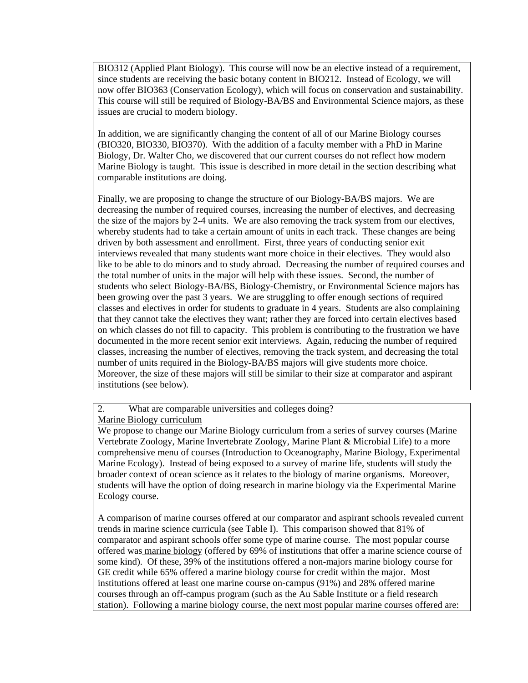BIO312 (Applied Plant Biology). This course will now be an elective instead of a requirement, since students are receiving the basic botany content in BIO212. Instead of Ecology, we will now offer BIO363 (Conservation Ecology), which will focus on conservation and sustainability. This course will still be required of Biology-BA/BS and Environmental Science majors, as these issues are crucial to modern biology.

In addition, we are significantly changing the content of all of our Marine Biology courses (BIO320, BIO330, BIO370). With the addition of a faculty member with a PhD in Marine Biology, Dr. Walter Cho, we discovered that our current courses do not reflect how modern Marine Biology is taught. This issue is described in more detail in the section describing what comparable institutions are doing.

Finally, we are proposing to change the structure of our Biology-BA/BS majors. We are decreasing the number of required courses, increasing the number of electives, and decreasing the size of the majors by 2-4 units. We are also removing the track system from our electives, whereby students had to take a certain amount of units in each track. These changes are being driven by both assessment and enrollment. First, three years of conducting senior exit interviews revealed that many students want more choice in their electives. They would also like to be able to do minors and to study abroad. Decreasing the number of required courses and the total number of units in the major will help with these issues. Second, the number of students who select Biology-BA/BS, Biology-Chemistry, or Environmental Science majors has been growing over the past 3 years. We are struggling to offer enough sections of required classes and electives in order for students to graduate in 4 years. Students are also complaining that they cannot take the electives they want; rather they are forced into certain electives based on which classes do not fill to capacity. This problem is contributing to the frustration we have documented in the more recent senior exit interviews. Again, reducing the number of required classes, increasing the number of electives, removing the track system, and decreasing the total number of units required in the Biology-BA/BS majors will give students more choice. Moreover, the size of these majors will still be similar to their size at comparator and aspirant institutions (see below).

2. What are comparable universities and colleges doing?

Marine Biology curriculum

We propose to change our Marine Biology curriculum from a series of survey courses (Marine Vertebrate Zoology, Marine Invertebrate Zoology, Marine Plant & Microbial Life) to a more comprehensive menu of courses (Introduction to Oceanography, Marine Biology, Experimental Marine Ecology). Instead of being exposed to a survey of marine life, students will study the broader context of ocean science as it relates to the biology of marine organisms. Moreover, students will have the option of doing research in marine biology via the Experimental Marine Ecology course.

A comparison of marine courses offered at our comparator and aspirant schools revealed current trends in marine science curricula (see Table I). This comparison showed that 81% of comparator and aspirant schools offer some type of marine course. The most popular course offered was marine biology (offered by 69% of institutions that offer a marine science course of some kind). Of these, 39% of the institutions offered a non-majors marine biology course for GE credit while 65% offered a marine biology course for credit within the major. Most institutions offered at least one marine course on-campus (91%) and 28% offered marine courses through an off-campus program (such as the Au Sable Institute or a field research station). Following a marine biology course, the next most popular marine courses offered are: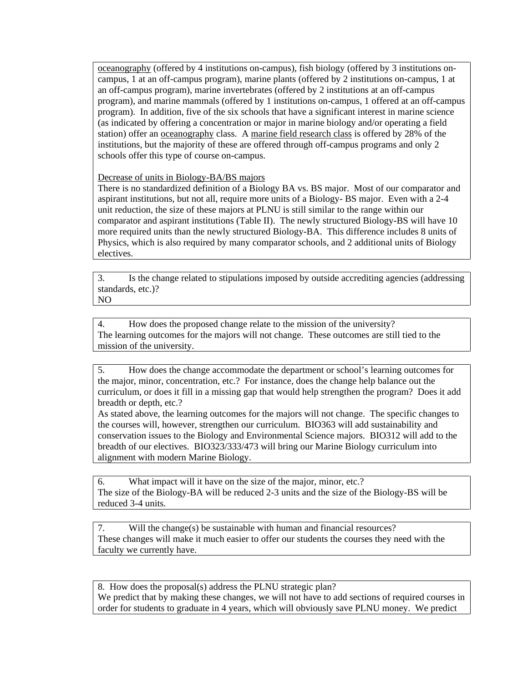oceanography (offered by 4 institutions on-campus), fish biology (offered by 3 institutions oncampus, 1 at an off-campus program), marine plants (offered by 2 institutions on-campus, 1 at an off-campus program), marine invertebrates (offered by 2 institutions at an off-campus program), and marine mammals (offered by 1 institutions on-campus, 1 offered at an off-campus program). In addition, five of the six schools that have a significant interest in marine science (as indicated by offering a concentration or major in marine biology and/or operating a field station) offer an oceanography class. A marine field research class is offered by 28% of the institutions, but the majority of these are offered through off-campus programs and only 2 schools offer this type of course on-campus.

Decrease of units in Biology-BA/BS majors

There is no standardized definition of a Biology BA vs. BS major. Most of our comparator and aspirant institutions, but not all, require more units of a Biology- BS major. Even with a 2-4 unit reduction, the size of these majors at PLNU is still similar to the range within our comparator and aspirant institutions (Table II). The newly structured Biology-BS will have 10 more required units than the newly structured Biology-BA. This difference includes 8 units of Physics, which is also required by many comparator schools, and 2 additional units of Biology electives.

3. Is the change related to stipulations imposed by outside accrediting agencies (addressing standards, etc.)? NO

4. How does the proposed change relate to the mission of the university? The learning outcomes for the majors will not change. These outcomes are still tied to the mission of the university.

5. How does the change accommodate the department or school's learning outcomes for the major, minor, concentration, etc.? For instance, does the change help balance out the curriculum, or does it fill in a missing gap that would help strengthen the program? Does it add breadth or depth, etc.?

As stated above, the learning outcomes for the majors will not change. The specific changes to the courses will, however, strengthen our curriculum. BIO363 will add sustainability and conservation issues to the Biology and Environmental Science majors. BIO312 will add to the breadth of our electives. BIO323/333/473 will bring our Marine Biology curriculum into alignment with modern Marine Biology.

6. What impact will it have on the size of the major, minor, etc.? The size of the Biology-BA will be reduced 2-3 units and the size of the Biology-BS will be reduced 3-4 units.

7. Will the change(s) be sustainable with human and financial resources? These changes will make it much easier to offer our students the courses they need with the faculty we currently have.

8. How does the proposal(s) address the PLNU strategic plan? We predict that by making these changes, we will not have to add sections of required courses in order for students to graduate in 4 years, which will obviously save PLNU money. We predict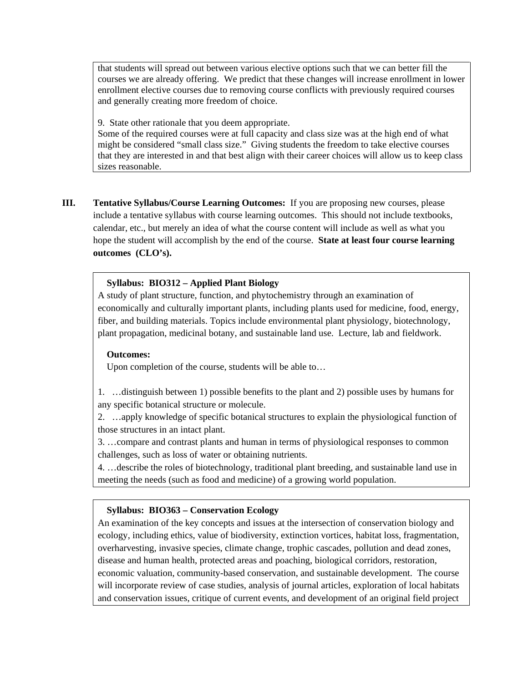that students will spread out between various elective options such that we can better fill the courses we are already offering. We predict that these changes will increase enrollment in lower enrollment elective courses due to removing course conflicts with previously required courses and generally creating more freedom of choice.

9. State other rationale that you deem appropriate.

Some of the required courses were at full capacity and class size was at the high end of what might be considered "small class size." Giving students the freedom to take elective courses that they are interested in and that best align with their career choices will allow us to keep class sizes reasonable.

**III. Tentative Syllabus/Course Learning Outcomes:** If you are proposing new courses, please include a tentative syllabus with course learning outcomes. This should not include textbooks, calendar, etc., but merely an idea of what the course content will include as well as what you hope the student will accomplish by the end of the course. **State at least four course learning outcomes (CLO's).** 

#### **Syllabus: BIO312 – Applied Plant Biology**

A study of plant structure, function, and phytochemistry through an examination of economically and culturally important plants, including plants used for medicine, food, energy, fiber, and building materials. Topics include environmental plant physiology, biotechnology, plant propagation, medicinal botany, and sustainable land use. Lecture, lab and fieldwork.

#### **Outcomes:**

Upon completion of the course, students will be able to…

1. …distinguish between 1) possible benefits to the plant and 2) possible uses by humans for any specific botanical structure or molecule.

2. …apply knowledge of specific botanical structures to explain the physiological function of those structures in an intact plant.

3. …compare and contrast plants and human in terms of physiological responses to common challenges, such as loss of water or obtaining nutrients.

4. …describe the roles of biotechnology, traditional plant breeding, and sustainable land use in meeting the needs (such as food and medicine) of a growing world population.

#### **Syllabus: BIO363 – Conservation Ecology**

An examination of the key concepts and issues at the intersection of conservation biology and ecology, including ethics, value of biodiversity, extinction vortices, habitat loss, fragmentation, overharvesting, invasive species, climate change, trophic cascades, pollution and dead zones, disease and human health, protected areas and poaching, biological corridors, restoration, economic valuation, community-based conservation, and sustainable development. The course will incorporate review of case studies, analysis of journal articles, exploration of local habitats and conservation issues, critique of current events, and development of an original field project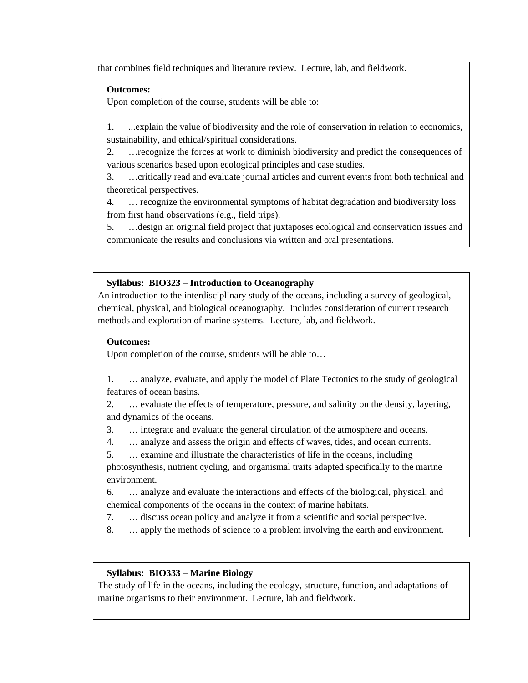that combines field techniques and literature review. Lecture, lab, and fieldwork.

## **Outcomes:**

Upon completion of the course, students will be able to:

1. ...explain the value of biodiversity and the role of conservation in relation to economics, sustainability, and ethical/spiritual considerations.

2. …recognize the forces at work to diminish biodiversity and predict the consequences of various scenarios based upon ecological principles and case studies.

3. …critically read and evaluate journal articles and current events from both technical and theoretical perspectives.

4. … recognize the environmental symptoms of habitat degradation and biodiversity loss from first hand observations (e.g., field trips).

5. …design an original field project that juxtaposes ecological and conservation issues and communicate the results and conclusions via written and oral presentations.

## **Syllabus: BIO323 – Introduction to Oceanography**

An introduction to the interdisciplinary study of the oceans, including a survey of geological, chemical, physical, and biological oceanography. Includes consideration of current research methods and exploration of marine systems. Lecture, lab, and fieldwork.

## **Outcomes:**

Upon completion of the course, students will be able to…

1. … analyze, evaluate, and apply the model of Plate Tectonics to the study of geological features of ocean basins.

2. … evaluate the effects of temperature, pressure, and salinity on the density, layering, and dynamics of the oceans.

- 3. … integrate and evaluate the general circulation of the atmosphere and oceans.
- 4. … analyze and assess the origin and effects of waves, tides, and ocean currents.
- 5. … examine and illustrate the characteristics of life in the oceans, including

photosynthesis, nutrient cycling, and organismal traits adapted specifically to the marine environment.

6. … analyze and evaluate the interactions and effects of the biological, physical, and chemical components of the oceans in the context of marine habitats.

- 7. … discuss ocean policy and analyze it from a scientific and social perspective.
- 8. … apply the methods of science to a problem involving the earth and environment.

## **Syllabus: BIO333 – Marine Biology**

The study of life in the oceans, including the ecology, structure, function, and adaptations of marine organisms to their environment. Lecture, lab and fieldwork.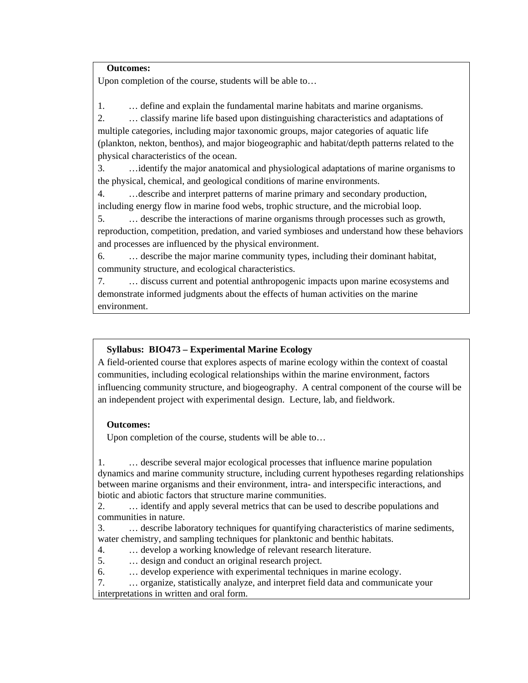#### **Outcomes:**

Upon completion of the course, students will be able to…

1. … define and explain the fundamental marine habitats and marine organisms.

2. … classify marine life based upon distinguishing characteristics and adaptations of multiple categories, including major taxonomic groups, major categories of aquatic life (plankton, nekton, benthos), and major biogeographic and habitat/depth patterns related to the physical characteristics of the ocean.

3. …identify the major anatomical and physiological adaptations of marine organisms to the physical, chemical, and geological conditions of marine environments.

4. …describe and interpret patterns of marine primary and secondary production, including energy flow in marine food webs, trophic structure, and the microbial loop.

5. … describe the interactions of marine organisms through processes such as growth, reproduction, competition, predation, and varied symbioses and understand how these behaviors and processes are influenced by the physical environment.

6. … describe the major marine community types, including their dominant habitat, community structure, and ecological characteristics.

7. … discuss current and potential anthropogenic impacts upon marine ecosystems and demonstrate informed judgments about the effects of human activities on the marine environment.

## **Syllabus: BIO473 – Experimental Marine Ecology**

A field-oriented course that explores aspects of marine ecology within the context of coastal communities, including ecological relationships within the marine environment, factors influencing community structure, and biogeography. A central component of the course will be an independent project with experimental design. Lecture, lab, and fieldwork.

## **Outcomes:**

Upon completion of the course, students will be able to…

1. … describe several major ecological processes that influence marine population dynamics and marine community structure, including current hypotheses regarding relationships between marine organisms and their environment, intra- and interspecific interactions, and biotic and abiotic factors that structure marine communities.

2. … identify and apply several metrics that can be used to describe populations and communities in nature.

3. … describe laboratory techniques for quantifying characteristics of marine sediments, water chemistry, and sampling techniques for planktonic and benthic habitats.

4. … develop a working knowledge of relevant research literature.

5. … design and conduct an original research project.

6. … develop experience with experimental techniques in marine ecology.

7. … organize, statistically analyze, and interpret field data and communicate your interpretations in written and oral form.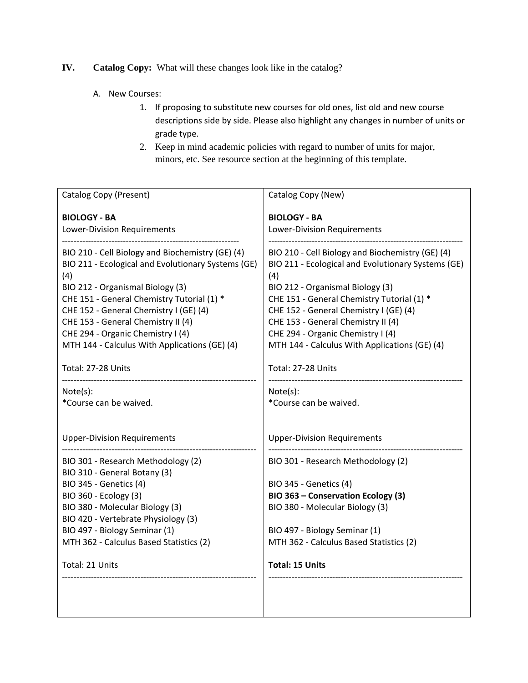## **IV. Catalog Copy:** What will these changes look like in the catalog?

- A. New Courses:
	- 1. If proposing to substitute new courses for old ones, list old and new course descriptions side by side. Please also highlight any changes in number of units or grade type.
	- 2. Keep in mind academic policies with regard to number of units for major, minors, etc. See resource section at the beginning of this template.

| Catalog Copy (Present)                                                                                                                                                                                                                                                                                                                                                                                  | Catalog Copy (New)                                                                                                                                                                                                                                                                                                                                                                                      |
|---------------------------------------------------------------------------------------------------------------------------------------------------------------------------------------------------------------------------------------------------------------------------------------------------------------------------------------------------------------------------------------------------------|---------------------------------------------------------------------------------------------------------------------------------------------------------------------------------------------------------------------------------------------------------------------------------------------------------------------------------------------------------------------------------------------------------|
| <b>BIOLOGY - BA</b><br>Lower-Division Requirements                                                                                                                                                                                                                                                                                                                                                      | <b>BIOLOGY - BA</b><br>Lower-Division Requirements                                                                                                                                                                                                                                                                                                                                                      |
| BIO 210 - Cell Biology and Biochemistry (GE) (4)<br>BIO 211 - Ecological and Evolutionary Systems (GE)<br>(4)<br>BIO 212 - Organismal Biology (3)<br>CHE 151 - General Chemistry Tutorial (1) *<br>CHE 152 - General Chemistry I (GE) (4)<br>CHE 153 - General Chemistry II (4)<br>CHE 294 - Organic Chemistry I (4)<br>MTH 144 - Calculus With Applications (GE) (4)<br>Total: 27-28 Units<br>Note(s): | BIO 210 - Cell Biology and Biochemistry (GE) (4)<br>BIO 211 - Ecological and Evolutionary Systems (GE)<br>(4)<br>BIO 212 - Organismal Biology (3)<br>CHE 151 - General Chemistry Tutorial (1) *<br>CHE 152 - General Chemistry I (GE) (4)<br>CHE 153 - General Chemistry II (4)<br>CHE 294 - Organic Chemistry I (4)<br>MTH 144 - Calculus With Applications (GE) (4)<br>Total: 27-28 Units<br>Note(s): |
| *Course can be waived.                                                                                                                                                                                                                                                                                                                                                                                  | *Course can be waived.                                                                                                                                                                                                                                                                                                                                                                                  |
| <b>Upper-Division Requirements</b><br>BIO 301 - Research Methodology (2)                                                                                                                                                                                                                                                                                                                                | <b>Upper-Division Requirements</b><br>BIO 301 - Research Methodology (2)                                                                                                                                                                                                                                                                                                                                |
| BIO 310 - General Botany (3)<br><b>BIO 345 - Genetics (4)</b><br>BIO 360 - Ecology (3)<br>BIO 380 - Molecular Biology (3)<br>BIO 420 - Vertebrate Physiology (3)                                                                                                                                                                                                                                        | <b>BIO 345 - Genetics (4)</b><br>BIO 363 - Conservation Ecology (3)<br>BIO 380 - Molecular Biology (3)                                                                                                                                                                                                                                                                                                  |
| BIO 497 - Biology Seminar (1)                                                                                                                                                                                                                                                                                                                                                                           | BIO 497 - Biology Seminar (1)                                                                                                                                                                                                                                                                                                                                                                           |
| MTH 362 - Calculus Based Statistics (2)                                                                                                                                                                                                                                                                                                                                                                 | MTH 362 - Calculus Based Statistics (2)                                                                                                                                                                                                                                                                                                                                                                 |
| Total: 21 Units                                                                                                                                                                                                                                                                                                                                                                                         | <b>Total: 15 Units</b>                                                                                                                                                                                                                                                                                                                                                                                  |
|                                                                                                                                                                                                                                                                                                                                                                                                         |                                                                                                                                                                                                                                                                                                                                                                                                         |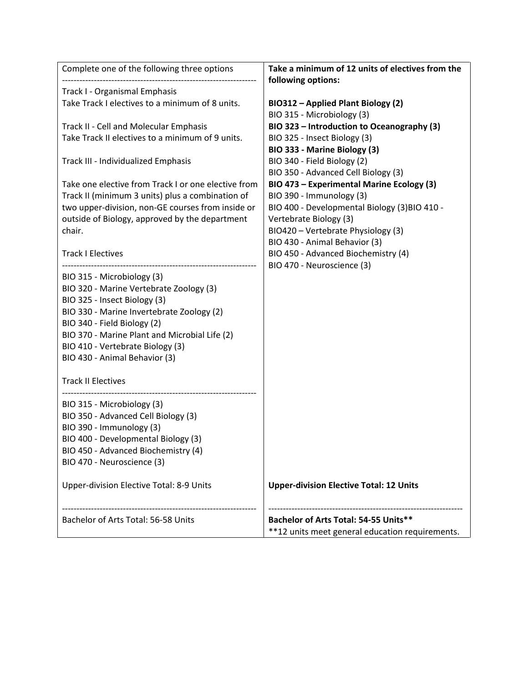| Complete one of the following three options         | Take a minimum of 12 units of electives from the |
|-----------------------------------------------------|--------------------------------------------------|
|                                                     | following options:                               |
| Track I - Organismal Emphasis                       |                                                  |
| Take Track I electives to a minimum of 8 units.     | BIO312 - Applied Plant Biology (2)               |
|                                                     | BIO 315 - Microbiology (3)                       |
| Track II - Cell and Molecular Emphasis              | BIO 323 - Introduction to Oceanography (3)       |
| Take Track II electives to a minimum of 9 units.    | BIO 325 - Insect Biology (3)                     |
|                                                     | BIO 333 - Marine Biology (3)                     |
| Track III - Individualized Emphasis                 | BIO 340 - Field Biology (2)                      |
|                                                     | BIO 350 - Advanced Cell Biology (3)              |
| Take one elective from Track I or one elective from | BIO 473 - Experimental Marine Ecology (3)        |
| Track II (minimum 3 units) plus a combination of    | BIO 390 - Immunology (3)                         |
| two upper-division, non-GE courses from inside or   | BIO 400 - Developmental Biology (3) BIO 410 -    |
| outside of Biology, approved by the department      | Vertebrate Biology (3)                           |
| chair.                                              | BIO420 - Vertebrate Physiology (3)               |
|                                                     | BIO 430 - Animal Behavior (3)                    |
| <b>Track I Electives</b>                            | BIO 450 - Advanced Biochemistry (4)              |
|                                                     | BIO 470 - Neuroscience (3)                       |
| BIO 315 - Microbiology (3)                          |                                                  |
| BIO 320 - Marine Vertebrate Zoology (3)             |                                                  |
| BIO 325 - Insect Biology (3)                        |                                                  |
| BIO 330 - Marine Invertebrate Zoology (2)           |                                                  |
| BIO 340 - Field Biology (2)                         |                                                  |
| BIO 370 - Marine Plant and Microbial Life (2)       |                                                  |
| BIO 410 - Vertebrate Biology (3)                    |                                                  |
| BIO 430 - Animal Behavior (3)                       |                                                  |
|                                                     |                                                  |
| <b>Track II Electives</b>                           |                                                  |
| BIO 315 - Microbiology (3)                          |                                                  |
| BIO 350 - Advanced Cell Biology (3)                 |                                                  |
| BIO 390 - Immunology (3)                            |                                                  |
| BIO 400 - Developmental Biology (3)                 |                                                  |
| BIO 450 - Advanced Biochemistry (4)                 |                                                  |
| BIO 470 - Neuroscience (3)                          |                                                  |
|                                                     |                                                  |
| Upper-division Elective Total: 8-9 Units            | <b>Upper-division Elective Total: 12 Units</b>   |
|                                                     |                                                  |
|                                                     |                                                  |
| Bachelor of Arts Total: 56-58 Units                 | Bachelor of Arts Total: 54-55 Units**            |
|                                                     | **12 units meet general education requirements.  |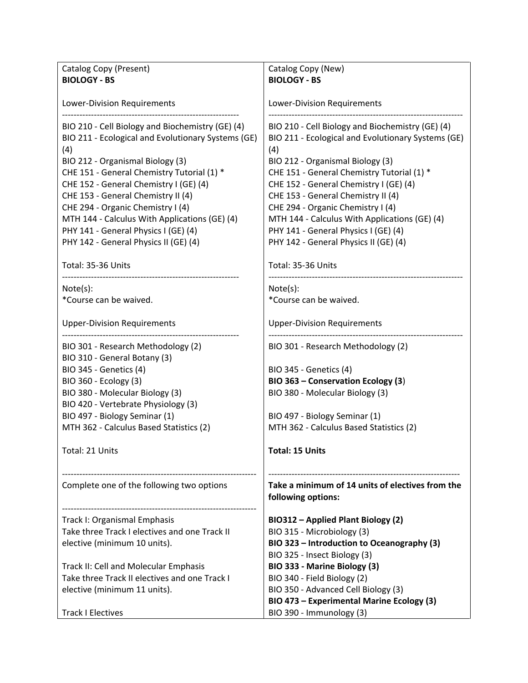| Catalog Copy (Present)                             | Catalog Copy (New)                                 |
|----------------------------------------------------|----------------------------------------------------|
| <b>BIOLOGY - BS</b>                                | <b>BIOLOGY - BS</b>                                |
|                                                    |                                                    |
| Lower-Division Requirements                        | <b>Lower-Division Requirements</b>                 |
|                                                    |                                                    |
| BIO 210 - Cell Biology and Biochemistry (GE) (4)   | BIO 210 - Cell Biology and Biochemistry (GE) (4)   |
| BIO 211 - Ecological and Evolutionary Systems (GE) | BIO 211 - Ecological and Evolutionary Systems (GE) |
| (4)                                                | (4)                                                |
| BIO 212 - Organismal Biology (3)                   | BIO 212 - Organismal Biology (3)                   |
| CHE 151 - General Chemistry Tutorial (1) *         | CHE 151 - General Chemistry Tutorial (1) *         |
| CHE 152 - General Chemistry I (GE) (4)             | CHE 152 - General Chemistry I (GE) (4)             |
| CHE 153 - General Chemistry II (4)                 | CHE 153 - General Chemistry II (4)                 |
| CHE 294 - Organic Chemistry I (4)                  | CHE 294 - Organic Chemistry I (4)                  |
| MTH 144 - Calculus With Applications (GE) (4)      | MTH 144 - Calculus With Applications (GE) (4)      |
| PHY 141 - General Physics I (GE) (4)               | PHY 141 - General Physics I (GE) (4)               |
| PHY 142 - General Physics II (GE) (4)              | PHY 142 - General Physics II (GE) (4)              |
|                                                    |                                                    |
| Total: 35-36 Units                                 | Total: 35-36 Units                                 |
| Note(s):                                           | Note(s):                                           |
| *Course can be waived.                             | *Course can be waived.                             |
|                                                    |                                                    |
| <b>Upper-Division Requirements</b>                 | <b>Upper-Division Requirements</b>                 |
|                                                    |                                                    |
| BIO 301 - Research Methodology (2)                 | BIO 301 - Research Methodology (2)                 |
| BIO 310 - General Botany (3)                       |                                                    |
| <b>BIO 345 - Genetics (4)</b>                      | <b>BIO 345 - Genetics (4)</b>                      |
| BIO 360 - Ecology (3)                              | BIO 363 - Conservation Ecology (3)                 |
| BIO 380 - Molecular Biology (3)                    | BIO 380 - Molecular Biology (3)                    |
| BIO 420 - Vertebrate Physiology (3)                |                                                    |
| BIO 497 - Biology Seminar (1)                      | BIO 497 - Biology Seminar (1)                      |
| MTH 362 - Calculus Based Statistics (2)            | MTH 362 - Calculus Based Statistics (2)            |
|                                                    |                                                    |
| Total: 21 Units                                    | Total: 15 Units                                    |
|                                                    |                                                    |
| Complete one of the following two options          | Take a minimum of 14 units of electives from the   |
|                                                    | following options:                                 |
|                                                    |                                                    |
| Track I: Organismal Emphasis                       | BIO312 - Applied Plant Biology (2)                 |
| Take three Track I electives and one Track II      | BIO 315 - Microbiology (3)                         |
| elective (minimum 10 units).                       | BIO 323 - Introduction to Oceanography (3)         |
|                                                    | BIO 325 - Insect Biology (3)                       |
| Track II: Cell and Molecular Emphasis              | BIO 333 - Marine Biology (3)                       |
| Take three Track II electives and one Track I      | BIO 340 - Field Biology (2)                        |
| elective (minimum 11 units).                       | BIO 350 - Advanced Cell Biology (3)                |
|                                                    | BIO 473 - Experimental Marine Ecology (3)          |
| <b>Track I Electives</b>                           | BIO 390 - Immunology (3)                           |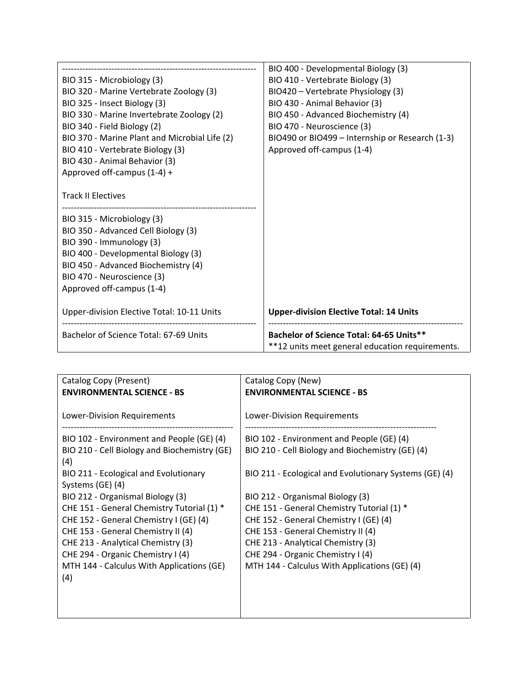|                                               | BIO 400 - Developmental Biology (3)                                                         |
|-----------------------------------------------|---------------------------------------------------------------------------------------------|
| BIO 315 - Microbiology (3)                    | BIO 410 - Vertebrate Biology (3)                                                            |
| BIO 320 - Marine Vertebrate Zoology (3)       | BIO420 - Vertebrate Physiology (3)                                                          |
| BIO 325 - Insect Biology (3)                  | BIO 430 - Animal Behavior (3)                                                               |
| BIO 330 - Marine Invertebrate Zoology (2)     | BIO 450 - Advanced Biochemistry (4)                                                         |
| BIO 340 - Field Biology (2)                   | BIO 470 - Neuroscience (3)                                                                  |
| BIO 370 - Marine Plant and Microbial Life (2) | BIO490 or BIO499 - Internship or Research (1-3)                                             |
| BIO 410 - Vertebrate Biology (3)              | Approved off-campus (1-4)                                                                   |
| BIO 430 - Animal Behavior (3)                 |                                                                                             |
| Approved off-campus (1-4) +                   |                                                                                             |
|                                               |                                                                                             |
| <b>Track II Electives</b>                     |                                                                                             |
|                                               |                                                                                             |
| BIO 315 - Microbiology (3)                    |                                                                                             |
| BIO 350 - Advanced Cell Biology (3)           |                                                                                             |
| BIO 390 - Immunology (3)                      |                                                                                             |
| BIO 400 - Developmental Biology (3)           |                                                                                             |
| BIO 450 - Advanced Biochemistry (4)           |                                                                                             |
| BIO 470 - Neuroscience (3)                    |                                                                                             |
| Approved off-campus (1-4)                     |                                                                                             |
|                                               |                                                                                             |
| Upper-division Elective Total: 10-11 Units    | <b>Upper-division Elective Total: 14 Units</b>                                              |
|                                               |                                                                                             |
| Bachelor of Science Total: 67-69 Units        | Bachelor of Science Total: 64-65 Units**<br>**12 units meet general education requirements. |

| Catalog Copy (Present)                       | Catalog Copy (New)                                     |
|----------------------------------------------|--------------------------------------------------------|
| <b>ENVIRONMENTAL SCIENCE - BS</b>            | <b>ENVIRONMENTAL SCIENCE - BS</b>                      |
|                                              |                                                        |
| Lower-Division Requirements                  | <b>Lower-Division Requirements</b>                     |
|                                              |                                                        |
| BIO 102 - Environment and People (GE) (4)    | BIO 102 - Environment and People (GE) (4)              |
| BIO 210 - Cell Biology and Biochemistry (GE) | BIO 210 - Cell Biology and Biochemistry (GE) (4)       |
| (4)                                          |                                                        |
| BIO 211 - Ecological and Evolutionary        | BIO 211 - Ecological and Evolutionary Systems (GE) (4) |
| Systems (GE) (4)                             |                                                        |
| BIO 212 - Organismal Biology (3)             | BIO 212 - Organismal Biology (3)                       |
| CHE 151 - General Chemistry Tutorial (1) *   | CHE 151 - General Chemistry Tutorial (1) *             |
| CHE 152 - General Chemistry I (GE) (4)       | CHE 152 - General Chemistry I (GE) (4)                 |
| CHE 153 - General Chemistry II (4)           | CHE 153 - General Chemistry II (4)                     |
| CHE 213 - Analytical Chemistry (3)           | CHE 213 - Analytical Chemistry (3)                     |
| CHE 294 - Organic Chemistry I (4)            | CHE 294 - Organic Chemistry I (4)                      |
| MTH 144 - Calculus With Applications (GE)    | MTH 144 - Calculus With Applications (GE) (4)          |
| (4)                                          |                                                        |
|                                              |                                                        |
|                                              |                                                        |
|                                              |                                                        |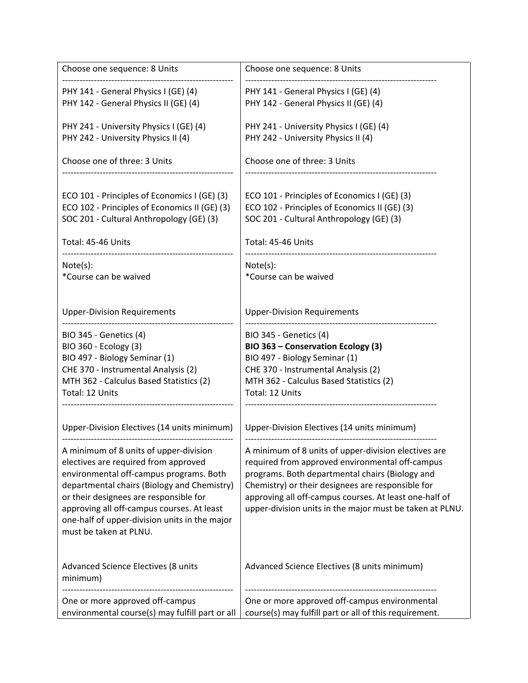| Choose one sequence: 8 Units                                                                  | Choose one sequence: 8 Units                                                                                       |
|-----------------------------------------------------------------------------------------------|--------------------------------------------------------------------------------------------------------------------|
| PHY 141 - General Physics I (GE) (4)                                                          | PHY 141 - General Physics I (GE) (4)                                                                               |
| PHY 142 - General Physics II (GE) (4)                                                         | PHY 142 - General Physics II (GE) (4)                                                                              |
| PHY 241 - University Physics I (GE) (4)                                                       | PHY 241 - University Physics I (GE) (4)                                                                            |
| PHY 242 - University Physics II (4)                                                           | PHY 242 - University Physics II (4)                                                                                |
| Choose one of three: 3 Units                                                                  | Choose one of three: 3 Units                                                                                       |
| ECO 101 - Principles of Economics I (GE) (3)<br>ECO 102 - Principles of Economics II (GE) (3) | ECO 101 - Principles of Economics I (GE) (3)<br>ECO 102 - Principles of Economics II (GE) (3)                      |
| SOC 201 - Cultural Anthropology (GE) (3)                                                      | SOC 201 - Cultural Anthropology (GE) (3)                                                                           |
| Total: 45-46 Units                                                                            | Total: 45-46 Units                                                                                                 |
| Note(s):                                                                                      | Note(s):                                                                                                           |
| *Course can be waived                                                                         | *Course can be waived                                                                                              |
| <b>Upper-Division Requirements</b>                                                            | <b>Upper-Division Requirements</b>                                                                                 |
| <b>BIO 345 - Genetics (4)</b>                                                                 | <b>BIO 345 - Genetics (4)</b>                                                                                      |
| BIO 360 - Ecology (3)<br>BIO 497 - Biology Seminar (1)                                        | BIO 363 - Conservation Ecology (3)<br>BIO 497 - Biology Seminar (1)                                                |
| CHE 370 - Instrumental Analysis (2)                                                           | CHE 370 - Instrumental Analysis (2)                                                                                |
| MTH 362 - Calculus Based Statistics (2)                                                       | MTH 362 - Calculus Based Statistics (2)                                                                            |
| Total: 12 Units                                                                               | Total: 12 Units                                                                                                    |
| Upper-Division Electives (14 units minimum)                                                   | Upper-Division Electives (14 units minimum)                                                                        |
| A minimum of 8 units of upper-division                                                        | A minimum of 8 units of upper-division electives are                                                               |
| electives are required from approved                                                          | required from approved environmental off-campus                                                                    |
| environmental off-campus programs. Both                                                       | programs. Both departmental chairs (Biology and                                                                    |
| departmental chairs (Biology and Chemistry)                                                   | Chemistry) or their designees are responsible for                                                                  |
| or their designees are responsible for<br>approving all off-campus courses. At least          | approving all off-campus courses. At least one-half of<br>upper-division units in the major must be taken at PLNU. |
| one-half of upper-division units in the major                                                 |                                                                                                                    |
| must be taken at PLNU.                                                                        |                                                                                                                    |
|                                                                                               |                                                                                                                    |
| Advanced Science Electives (8 units<br>minimum)                                               | Advanced Science Electives (8 units minimum)                                                                       |
| One or more approved off-campus                                                               | One or more approved off-campus environmental                                                                      |
| environmental course(s) may fulfill part or all                                               | course(s) may fulfill part or all of this requirement.                                                             |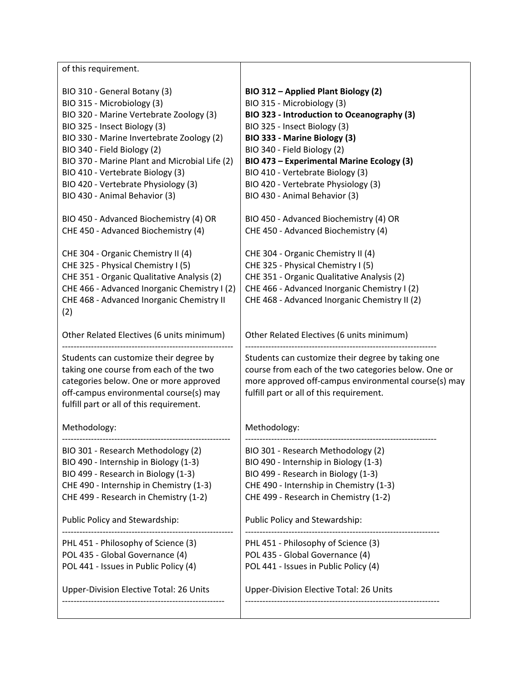| of this requirement.                                                                                                                                                                                                                                                                                                                                                                                                     |                                                                                                                                                                                                                                                                                                                                                                                                                   |
|--------------------------------------------------------------------------------------------------------------------------------------------------------------------------------------------------------------------------------------------------------------------------------------------------------------------------------------------------------------------------------------------------------------------------|-------------------------------------------------------------------------------------------------------------------------------------------------------------------------------------------------------------------------------------------------------------------------------------------------------------------------------------------------------------------------------------------------------------------|
| BIO 310 - General Botany (3)<br>BIO 315 - Microbiology (3)<br>BIO 320 - Marine Vertebrate Zoology (3)<br>BIO 325 - Insect Biology (3)<br>BIO 330 - Marine Invertebrate Zoology (2)<br>BIO 340 - Field Biology (2)<br>BIO 370 - Marine Plant and Microbial Life (2)<br>BIO 410 - Vertebrate Biology (3)<br>BIO 420 - Vertebrate Physiology (3)<br>BIO 430 - Animal Behavior (3)<br>BIO 450 - Advanced Biochemistry (4) OR | BIO 312 - Applied Plant Biology (2)<br>BIO 315 - Microbiology (3)<br>BIO 323 - Introduction to Oceanography (3)<br>BIO 325 - Insect Biology (3)<br>BIO 333 - Marine Biology (3)<br>BIO 340 - Field Biology (2)<br>BIO 473 - Experimental Marine Ecology (3)<br>BIO 410 - Vertebrate Biology (3)<br>BIO 420 - Vertebrate Physiology (3)<br>BIO 430 - Animal Behavior (3)<br>BIO 450 - Advanced Biochemistry (4) OR |
| CHE 450 - Advanced Biochemistry (4)<br>CHE 304 - Organic Chemistry II (4)<br>CHE 325 - Physical Chemistry I (5)<br>CHE 351 - Organic Qualitative Analysis (2)<br>CHE 466 - Advanced Inorganic Chemistry I (2)<br>CHE 468 - Advanced Inorganic Chemistry II<br>(2)                                                                                                                                                        | CHE 450 - Advanced Biochemistry (4)<br>CHE 304 - Organic Chemistry II (4)<br>CHE 325 - Physical Chemistry I (5)<br>CHE 351 - Organic Qualitative Analysis (2)<br>CHE 466 - Advanced Inorganic Chemistry I (2)<br>CHE 468 - Advanced Inorganic Chemistry II (2)                                                                                                                                                    |
| Other Related Electives (6 units minimum)                                                                                                                                                                                                                                                                                                                                                                                | Other Related Electives (6 units minimum)                                                                                                                                                                                                                                                                                                                                                                         |
| Students can customize their degree by<br>taking one course from each of the two<br>categories below. One or more approved<br>off-campus environmental course(s) may<br>fulfill part or all of this requirement.                                                                                                                                                                                                         | Students can customize their degree by taking one<br>course from each of the two categories below. One or<br>more approved off-campus environmental course(s) may<br>fulfill part or all of this requirement.                                                                                                                                                                                                     |
| Methodology:                                                                                                                                                                                                                                                                                                                                                                                                             | Methodology:                                                                                                                                                                                                                                                                                                                                                                                                      |
| BIO 301 - Research Methodology (2)<br>BIO 490 - Internship in Biology (1-3)<br>BIO 499 - Research in Biology (1-3)<br>CHE 490 - Internship in Chemistry (1-3)<br>CHE 499 - Research in Chemistry (1-2)                                                                                                                                                                                                                   | BIO 301 - Research Methodology (2)<br>BIO 490 - Internship in Biology (1-3)<br>BIO 499 - Research in Biology (1-3)<br>CHE 490 - Internship in Chemistry (1-3)<br>CHE 499 - Research in Chemistry (1-2)                                                                                                                                                                                                            |
| Public Policy and Stewardship:                                                                                                                                                                                                                                                                                                                                                                                           | Public Policy and Stewardship:                                                                                                                                                                                                                                                                                                                                                                                    |
| PHL 451 - Philosophy of Science (3)<br>POL 435 - Global Governance (4)<br>POL 441 - Issues in Public Policy (4)                                                                                                                                                                                                                                                                                                          | PHL 451 - Philosophy of Science (3)<br>POL 435 - Global Governance (4)<br>POL 441 - Issues in Public Policy (4)                                                                                                                                                                                                                                                                                                   |
| Upper-Division Elective Total: 26 Units                                                                                                                                                                                                                                                                                                                                                                                  | <b>Upper-Division Elective Total: 26 Units</b>                                                                                                                                                                                                                                                                                                                                                                    |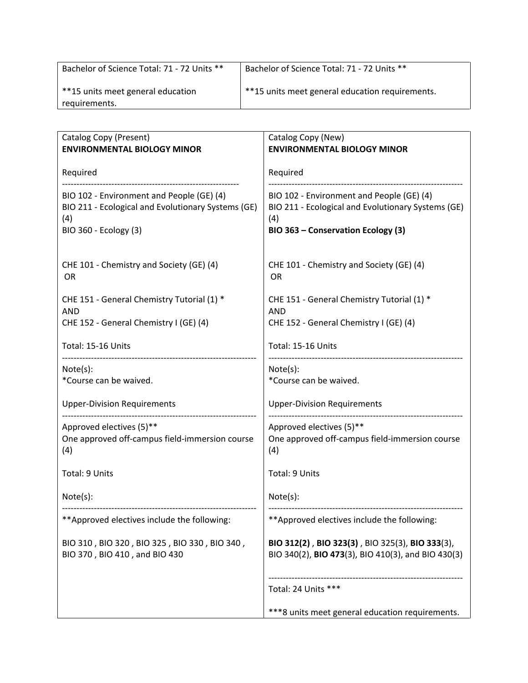| Bachelor of Science Total: 71 - 72 Units **        | Bachelor of Science Total: 71 - 72 Units **     |
|----------------------------------------------------|-------------------------------------------------|
| **15 units meet general education<br>requirements. | **15 units meet general education requirements. |

| Catalog Copy (Present)<br><b>ENVIRONMENTAL BIOLOGY MINOR</b>                                                                    | Catalog Copy (New)<br><b>ENVIRONMENTAL BIOLOGY MINOR</b>                                                                                     |
|---------------------------------------------------------------------------------------------------------------------------------|----------------------------------------------------------------------------------------------------------------------------------------------|
| Required                                                                                                                        | Required                                                                                                                                     |
| BIO 102 - Environment and People (GE) (4)<br>BIO 211 - Ecological and Evolutionary Systems (GE)<br>(4)<br>BIO 360 - Ecology (3) | BIO 102 - Environment and People (GE) (4)<br>BIO 211 - Ecological and Evolutionary Systems (GE)<br>(4)<br>BIO 363 - Conservation Ecology (3) |
| CHE 101 - Chemistry and Society (GE) (4)<br>OR                                                                                  | CHE 101 - Chemistry and Society (GE) (4)<br>OR                                                                                               |
| CHE 151 - General Chemistry Tutorial (1) *<br><b>AND</b>                                                                        | CHE 151 - General Chemistry Tutorial (1) *<br><b>AND</b>                                                                                     |
| CHE 152 - General Chemistry I (GE) (4)                                                                                          | CHE 152 - General Chemistry I (GE) (4)                                                                                                       |
| Total: 15-16 Units                                                                                                              | Total: 15-16 Units                                                                                                                           |
| Note(s):<br>*Course can be waived.                                                                                              | Note(s):<br>*Course can be waived.                                                                                                           |
| <b>Upper-Division Requirements</b>                                                                                              | <b>Upper-Division Requirements</b>                                                                                                           |
| Approved electives (5)**<br>One approved off-campus field-immersion course<br>(4)                                               | Approved electives (5)**<br>One approved off-campus field-immersion course<br>(4)                                                            |
| Total: 9 Units                                                                                                                  | Total: 9 Units                                                                                                                               |
| Note(s):                                                                                                                        | Note(s):                                                                                                                                     |
| ** Approved electives include the following:                                                                                    | ** Approved electives include the following:                                                                                                 |
| BIO 310, BIO 320, BIO 325, BIO 330, BIO 340,<br>BIO 370, BIO 410, and BIO 430                                                   | BIO 312(2), BIO 323(3), BIO 325(3), BIO 333(3),<br>BIO 340(2), BIO 473(3), BIO 410(3), and BIO 430(3)                                        |
|                                                                                                                                 | Total: 24 Units ***                                                                                                                          |
|                                                                                                                                 | ***8 units meet general education requirements.                                                                                              |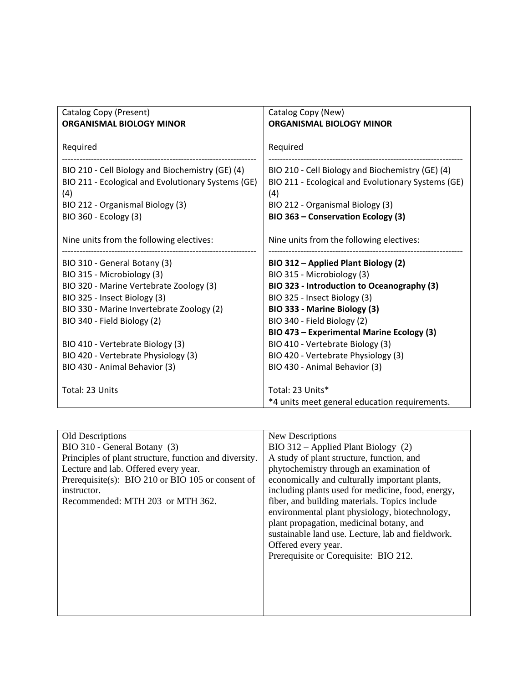| Catalog Copy (Present)<br><b>ORGANISMAL BIOLOGY MINOR</b>                                                     | Catalog Copy (New)<br><b>ORGANISMAL BIOLOGY MINOR</b>                                                         |
|---------------------------------------------------------------------------------------------------------------|---------------------------------------------------------------------------------------------------------------|
| Required                                                                                                      | Required                                                                                                      |
| BIO 210 - Cell Biology and Biochemistry (GE) (4)<br>BIO 211 - Ecological and Evolutionary Systems (GE)<br>(4) | BIO 210 - Cell Biology and Biochemistry (GE) (4)<br>BIO 211 - Ecological and Evolutionary Systems (GE)<br>(4) |
| BIO 212 - Organismal Biology (3)                                                                              | BIO 212 - Organismal Biology (3)                                                                              |
| BIO 360 - Ecology (3)                                                                                         | BIO 363 - Conservation Ecology (3)                                                                            |
| Nine units from the following electives:                                                                      | Nine units from the following electives:                                                                      |
| BIO 310 - General Botany (3)                                                                                  | BIO 312 – Applied Plant Biology (2)                                                                           |
| BIO 315 - Microbiology (3)                                                                                    | BIO 315 - Microbiology (3)                                                                                    |
| BIO 320 - Marine Vertebrate Zoology (3)                                                                       | BIO 323 - Introduction to Oceanography (3)                                                                    |
| BIO 325 - Insect Biology (3)                                                                                  | BIO 325 - Insect Biology (3)                                                                                  |
| BIO 330 - Marine Invertebrate Zoology (2)                                                                     | BIO 333 - Marine Biology (3)                                                                                  |
| BIO 340 - Field Biology (2)                                                                                   | BIO 340 - Field Biology (2)                                                                                   |
|                                                                                                               | BIO 473 - Experimental Marine Ecology (3)                                                                     |
| BIO 410 - Vertebrate Biology (3)                                                                              | BIO 410 - Vertebrate Biology (3)                                                                              |
| BIO 420 - Vertebrate Physiology (3)                                                                           | BIO 420 - Vertebrate Physiology (3)                                                                           |
| BIO 430 - Animal Behavior (3)                                                                                 | BIO 430 - Animal Behavior (3)                                                                                 |
| Total: 23 Units                                                                                               | Total: 23 Units*<br>*4 units meet general education requirements.                                             |

| Old Descriptions                                       | New Descriptions                                  |
|--------------------------------------------------------|---------------------------------------------------|
| BIO 310 - General Botany (3)                           | BIO 312 – Applied Plant Biology (2)               |
| Principles of plant structure, function and diversity. | A study of plant structure, function, and         |
| Lecture and lab. Offered every year.                   | phytochemistry through an examination of          |
| Prerequisite(s): BIO 210 or BIO 105 or consent of      | economically and culturally important plants,     |
| instructor.                                            | including plants used for medicine, food, energy, |
| Recommended: MTH 203 or MTH 362.                       | fiber, and building materials. Topics include     |
|                                                        | environmental plant physiology, biotechnology,    |
|                                                        | plant propagation, medicinal botany, and          |
|                                                        | sustainable land use. Lecture, lab and fieldwork. |
|                                                        | Offered every year.                               |
|                                                        | Prerequisite or Corequisite: BIO 212.             |
|                                                        |                                                   |
|                                                        |                                                   |
|                                                        |                                                   |
|                                                        |                                                   |
|                                                        |                                                   |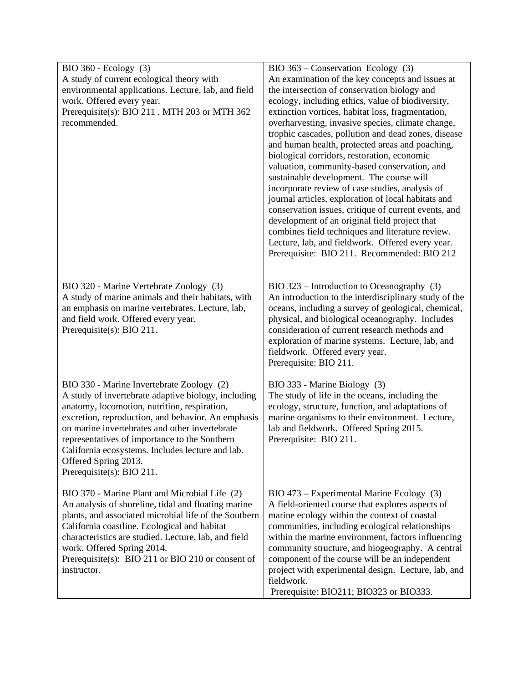| BIO 360 - Ecology (3)                                                                         | BIO 363 – Conservation Ecology (3)                                                                    |
|-----------------------------------------------------------------------------------------------|-------------------------------------------------------------------------------------------------------|
| A study of current ecological theory with                                                     | An examination of the key concepts and issues at                                                      |
| environmental applications. Lecture, lab, and field                                           | the intersection of conservation biology and                                                          |
| work. Offered every year.                                                                     | ecology, including ethics, value of biodiversity,                                                     |
| Prerequisite(s): BIO 211 . MTH 203 or MTH 362                                                 | extinction vortices, habitat loss, fragmentation,                                                     |
| recommended.                                                                                  | overharvesting, invasive species, climate change,                                                     |
|                                                                                               | trophic cascades, pollution and dead zones, disease                                                   |
|                                                                                               | and human health, protected areas and poaching,                                                       |
|                                                                                               | biological corridors, restoration, economic                                                           |
|                                                                                               | valuation, community-based conservation, and                                                          |
|                                                                                               | sustainable development. The course will                                                              |
|                                                                                               | incorporate review of case studies, analysis of                                                       |
|                                                                                               | journal articles, exploration of local habitats and                                                   |
|                                                                                               | conservation issues, critique of current events, and                                                  |
|                                                                                               | development of an original field project that                                                         |
|                                                                                               | combines field techniques and literature review.                                                      |
|                                                                                               | Lecture, lab, and fieldwork. Offered every year.                                                      |
|                                                                                               | Prerequisite: BIO 211. Recommended: BIO 212                                                           |
|                                                                                               |                                                                                                       |
|                                                                                               |                                                                                                       |
| BIO 320 - Marine Vertebrate Zoology (3)<br>A study of marine animals and their habitats, with | $BIO$ 323 – Introduction to Oceanography (3)<br>An introduction to the interdisciplinary study of the |
| an emphasis on marine vertebrates. Lecture, lab,                                              | oceans, including a survey of geological, chemical,                                                   |
| and field work. Offered every year.                                                           | physical, and biological oceanography. Includes                                                       |
| Prerequisite(s): BIO 211.                                                                     | consideration of current research methods and                                                         |
|                                                                                               | exploration of marine systems. Lecture, lab, and                                                      |
|                                                                                               | fieldwork. Offered every year.                                                                        |
|                                                                                               | Prerequisite: BIO 211.                                                                                |
|                                                                                               |                                                                                                       |
| BIO 330 - Marine Invertebrate Zoology (2)                                                     | BIO 333 - Marine Biology (3)                                                                          |
| A study of invertebrate adaptive biology, including                                           | The study of life in the oceans, including the                                                        |
| anatomy, locomotion, nutrition, respiration,                                                  | ecology, structure, function, and adaptations of                                                      |
| excretion, reproduction, and behavior. An emphasis                                            | marine organisms to their environment. Lecture,                                                       |
| on marine invertebrates and other invertebrate                                                | lab and fieldwork. Offered Spring 2015.                                                               |
| representatives of importance to the Southern                                                 | Prerequisite: BIO 211.                                                                                |
| California ecosystems. Includes lecture and lab.                                              |                                                                                                       |
| Offered Spring 2013.                                                                          |                                                                                                       |
| Prerequisite(s): BIO 211.                                                                     |                                                                                                       |
| BIO 370 - Marine Plant and Microbial Life (2)                                                 | BIO 473 – Experimental Marine Ecology (3)                                                             |
| An analysis of shoreline, tidal and floating marine                                           | A field-oriented course that explores aspects of                                                      |
| plants, and associated microbial life of the Southern                                         | marine ecology within the context of coastal                                                          |
| California coastline. Ecological and habitat                                                  | communities, including ecological relationships                                                       |
| characteristics are studied. Lecture, lab, and field                                          | within the marine environment, factors influencing                                                    |
| work. Offered Spring 2014.                                                                    | community structure, and biogeography. A central                                                      |
| Prerequisite(s): BIO 211 or BIO 210 or consent of                                             | component of the course will be an independent                                                        |
| instructor.                                                                                   | project with experimental design. Lecture, lab, and                                                   |
|                                                                                               | fieldwork.                                                                                            |
|                                                                                               | Prerequisite: BIO211; BIO323 or BIO333.                                                               |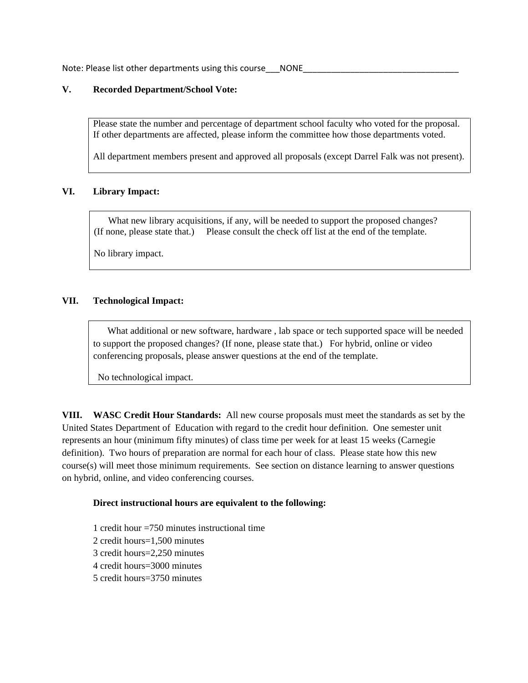Note: Please list other departments using this course NONE

## **V. Recorded Department/School Vote:**

Please state the number and percentage of department school faculty who voted for the proposal. If other departments are affected, please inform the committee how those departments voted.

All department members present and approved all proposals (except Darrel Falk was not present).

#### **VI. Library Impact:**

What new library acquisitions, if any, will be needed to support the proposed changes? (If none, please state that.) Please consult the check off list at the end of the template.

No library impact.

## **VII. Technological Impact:**

 What additional or new software, hardware , lab space or tech supported space will be needed to support the proposed changes? (If none, please state that.) For hybrid, online or video conferencing proposals, please answer questions at the end of the template.

No technological impact.

**VIII. WASC Credit Hour Standards:** All new course proposals must meet the standards as set by the United States Department of Education with regard to the credit hour definition. One semester unit represents an hour (minimum fifty minutes) of class time per week for at least 15 weeks (Carnegie definition). Two hours of preparation are normal for each hour of class. Please state how this new course(s) will meet those minimum requirements. See section on distance learning to answer questions on hybrid, online, and video conferencing courses.

#### **Direct instructional hours are equivalent to the following:**

1 credit hour  $=750$  minutes instructional time 2 credit hours=1,500 minutes 3 credit hours=2,250 minutes 4 credit hours=3000 minutes 5 credit hours=3750 minutes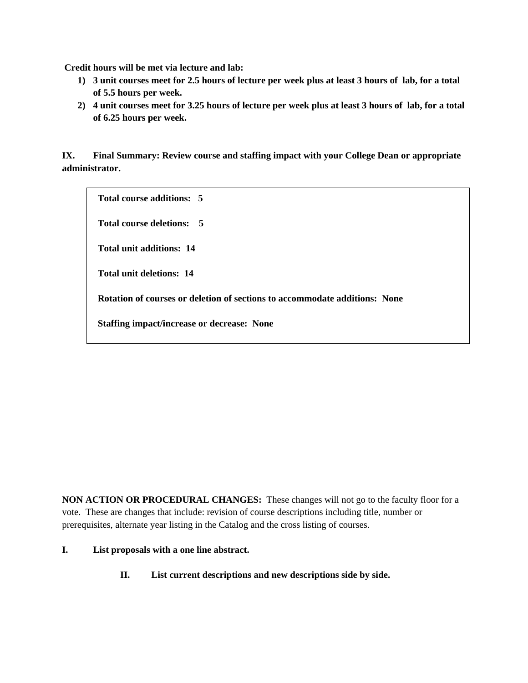**Credit hours will be met via lecture and lab:** 

- **1) 3 unit courses meet for 2.5 hours of lecture per week plus at least 3 hours of lab, for a total of 5.5 hours per week.**
- **2) 4 unit courses meet for 3.25 hours of lecture per week plus at least 3 hours of lab, for a total of 6.25 hours per week.**

**IX. Final Summary: Review course and staffing impact with your College Dean or appropriate administrator.**

**Total course additions: 5**

**Total course deletions: 5**

**Total unit additions: 14**

**Total unit deletions: 14**

**Rotation of courses or deletion of sections to accommodate additions: None**

**Staffing impact/increase or decrease: None**

**NON ACTION OR PROCEDURAL CHANGES:** These changes will not go to the faculty floor for a vote. These are changes that include: revision of course descriptions including title, number or prerequisites, alternate year listing in the Catalog and the cross listing of courses.

#### **I. List proposals with a one line abstract.**

**II. List current descriptions and new descriptions side by side.**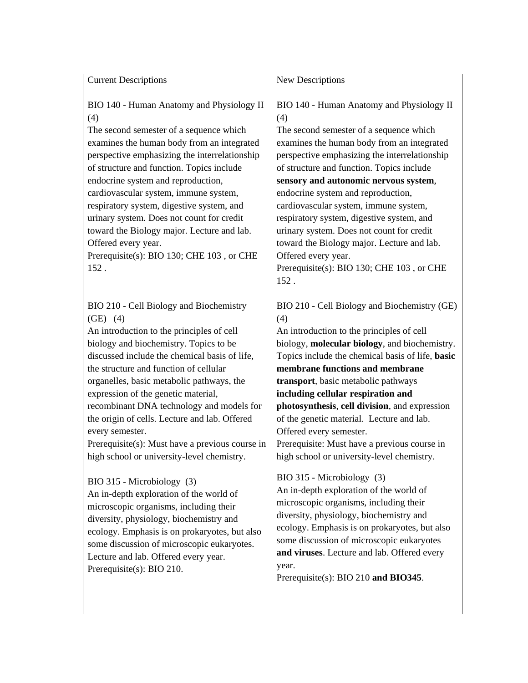| <b>Current Descriptions</b>                                                                                                                                                                                                                                                                                                                                                                                                                                                                                                                   | New Descriptions                                                                                                                                                                                                                                                                                                                                                                                                                                                                                                                                                                    |
|-----------------------------------------------------------------------------------------------------------------------------------------------------------------------------------------------------------------------------------------------------------------------------------------------------------------------------------------------------------------------------------------------------------------------------------------------------------------------------------------------------------------------------------------------|-------------------------------------------------------------------------------------------------------------------------------------------------------------------------------------------------------------------------------------------------------------------------------------------------------------------------------------------------------------------------------------------------------------------------------------------------------------------------------------------------------------------------------------------------------------------------------------|
|                                                                                                                                                                                                                                                                                                                                                                                                                                                                                                                                               |                                                                                                                                                                                                                                                                                                                                                                                                                                                                                                                                                                                     |
| BIO 140 - Human Anatomy and Physiology II<br>(4)<br>The second semester of a sequence which<br>examines the human body from an integrated<br>perspective emphasizing the interrelationship<br>of structure and function. Topics include<br>endocrine system and reproduction,<br>cardiovascular system, immune system,<br>respiratory system, digestive system, and<br>urinary system. Does not count for credit<br>toward the Biology major. Lecture and lab.<br>Offered every year.<br>Prerequisite(s): BIO 130; CHE 103, or CHE<br>152.    | BIO 140 - Human Anatomy and Physiology II<br>(4)<br>The second semester of a sequence which<br>examines the human body from an integrated<br>perspective emphasizing the interrelationship<br>of structure and function. Topics include<br>sensory and autonomic nervous system,<br>endocrine system and reproduction,<br>cardiovascular system, immune system,<br>respiratory system, digestive system, and<br>urinary system. Does not count for credit<br>toward the Biology major. Lecture and lab.<br>Offered every year.<br>Prerequisite(s): BIO 130; CHE 103, or CHE<br>152. |
| BIO 210 - Cell Biology and Biochemistry<br>$(GE)$ (4)<br>An introduction to the principles of cell<br>biology and biochemistry. Topics to be<br>discussed include the chemical basis of life,<br>the structure and function of cellular<br>organelles, basic metabolic pathways, the<br>expression of the genetic material,<br>recombinant DNA technology and models for<br>the origin of cells. Lecture and lab. Offered<br>every semester.<br>Prerequisite(s): Must have a previous course in<br>high school or university-level chemistry. | BIO 210 - Cell Biology and Biochemistry (GE)<br>(4)<br>An introduction to the principles of cell<br>biology, molecular biology, and biochemistry.<br>Topics include the chemical basis of life, basic<br>membrane functions and membrane<br>transport, basic metabolic pathways<br>including cellular respiration and<br>photosynthesis, cell division, and expression<br>of the genetic material. Lecture and lab.<br>Offered every semester.<br>Prerequisite: Must have a previous course in<br>high school or university-level chemistry.                                        |
| BIO 315 - Microbiology (3)<br>An in-depth exploration of the world of<br>microscopic organisms, including their<br>diversity, physiology, biochemistry and<br>ecology. Emphasis is on prokaryotes, but also<br>some discussion of microscopic eukaryotes.<br>Lecture and lab. Offered every year.<br>Prerequisite(s): BIO 210.                                                                                                                                                                                                                | BIO 315 - Microbiology (3)<br>An in-depth exploration of the world of<br>microscopic organisms, including their<br>diversity, physiology, biochemistry and<br>ecology. Emphasis is on prokaryotes, but also<br>some discussion of microscopic eukaryotes<br>and viruses. Lecture and lab. Offered every<br>year.<br>Prerequisite(s): BIO 210 and BIO345.                                                                                                                                                                                                                            |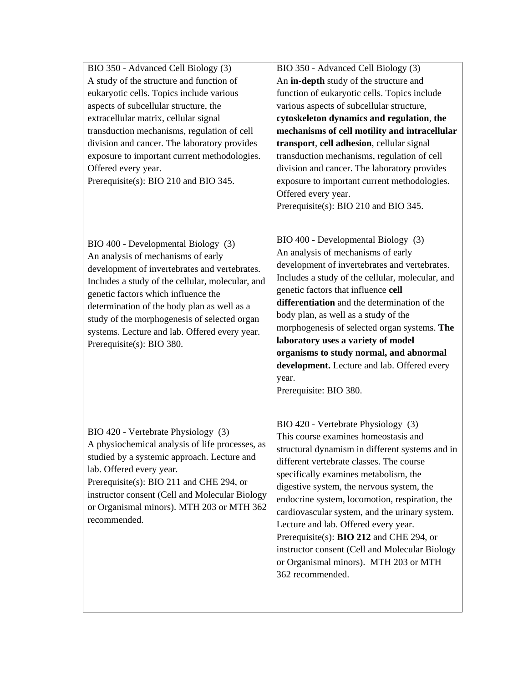BIO 350 - Advanced Cell Biology (3) A study of the structure and function of eukaryotic cells. Topics include various aspects of subcellular structure, the extracellular matrix, cellular signal transduction mechanisms, regulation of cell division and cancer. The laboratory provides exposure to important current methodologies. Offered every year. Prerequisite(s): BIO 210 and BIO 345.

BIO 400 - Developmental Biology (3) An analysis of mechanisms of early development of invertebrates and vertebrates. Includes a study of the cellular, molecular, and genetic factors which influence the determination of the body plan as well as a study of the morphogenesis of selected organ systems. Lecture and lab. Offered every year. Prerequisite(s): BIO 380.

BIO 420 - Vertebrate Physiology (3) A physiochemical analysis of life processes, as studied by a systemic approach. Lecture and lab. Offered every year. Prerequisite(s): BIO 211 and CHE 294, or instructor consent (Cell and Molecular Biology

or Organismal minors). MTH 203 or MTH 362 recommended.

BIO 350 - Advanced Cell Biology (3) An **in-depth** study of the structure and function of eukaryotic cells. Topics include various aspects of subcellular structure, **cytoskeleton dynamics and regulation**, **the mechanisms of cell motility and intracellular transport**, **cell adhesion**, cellular signal transduction mechanisms, regulation of cell division and cancer. The laboratory provides exposure to important current methodologies. Offered every year. Prerequisite(s): BIO 210 and BIO 345.

BIO 400 - Developmental Biology (3) An analysis of mechanisms of early development of invertebrates and vertebrates. Includes a study of the cellular, molecular, and genetic factors that influence **cell differentiation** and the determination of the body plan, as well as a study of the morphogenesis of selected organ systems. **The laboratory uses a variety of model organisms to study normal, and abnormal development.** Lecture and lab. Offered every year.

Prerequisite: BIO 380.

BIO 420 - Vertebrate Physiology (3) This course examines homeostasis and structural dynamism in different systems and in different vertebrate classes. The course specifically examines metabolism, the digestive system, the nervous system, the endocrine system, locomotion, respiration, the cardiovascular system, and the urinary system. Lecture and lab. Offered every year. Prerequisite(s): **BIO 212** and CHE 294, or instructor consent (Cell and Molecular Biology or Organismal minors). MTH 203 or MTH 362 recommended.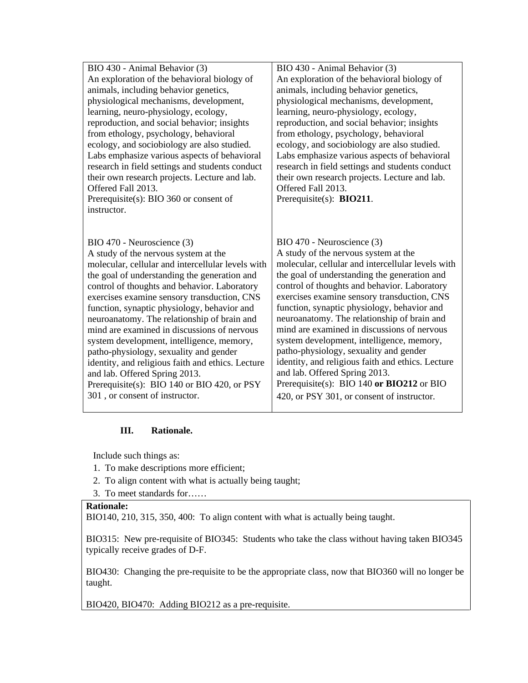| BIO 430 - Animal Behavior (3)                     | BIO 430 - Animal Behavior (3)                     |
|---------------------------------------------------|---------------------------------------------------|
| An exploration of the behavioral biology of       | An exploration of the behavioral biology of       |
| animals, including behavior genetics,             | animals, including behavior genetics,             |
| physiological mechanisms, development,            | physiological mechanisms, development,            |
| learning, neuro-physiology, ecology,              | learning, neuro-physiology, ecology,              |
| reproduction, and social behavior; insights       | reproduction, and social behavior; insights       |
| from ethology, psychology, behavioral             | from ethology, psychology, behavioral             |
| ecology, and sociobiology are also studied.       | ecology, and sociobiology are also studied.       |
| Labs emphasize various aspects of behavioral      | Labs emphasize various aspects of behavioral      |
| research in field settings and students conduct   | research in field settings and students conduct   |
| their own research projects. Lecture and lab.     | their own research projects. Lecture and lab.     |
| Offered Fall 2013.                                | Offered Fall 2013.                                |
| Prerequisite(s): BIO 360 or consent of            | Prerequisite(s): $BIO211$ .                       |
| instructor.                                       |                                                   |
|                                                   |                                                   |
|                                                   |                                                   |
| BIO 470 - Neuroscience (3)                        | BIO 470 - Neuroscience (3)                        |
| A study of the nervous system at the              | A study of the nervous system at the              |
| molecular, cellular and intercellular levels with | molecular, cellular and intercellular levels with |
|                                                   |                                                   |
| the goal of understanding the generation and      | the goal of understanding the generation and      |
|                                                   | control of thoughts and behavior. Laboratory      |
| control of thoughts and behavior. Laboratory      |                                                   |
| exercises examine sensory transduction, CNS       | exercises examine sensory transduction, CNS       |
| function, synaptic physiology, behavior and       | function, synaptic physiology, behavior and       |
| neuroanatomy. The relationship of brain and       | neuroanatomy. The relationship of brain and       |
| mind are examined in discussions of nervous       | mind are examined in discussions of nervous       |
| system development, intelligence, memory,         | system development, intelligence, memory,         |
| patho-physiology, sexuality and gender            | patho-physiology, sexuality and gender            |
| identity, and religious faith and ethics. Lecture | identity, and religious faith and ethics. Lecture |
| and lab. Offered Spring 2013.                     | and lab. Offered Spring 2013.                     |
| Prerequisite(s): BIO 140 or BIO 420, or PSY       | Prerequisite(s): BIO 140 or BIO212 or BIO         |
| 301, or consent of instructor.                    | 420, or PSY 301, or consent of instructor.        |

## **III. Rationale.**

Include such things as:

- 1. To make descriptions more efficient;
- 2. To align content with what is actually being taught;
- 3. To meet standards for……

## **Rationale:**

BIO140, 210, 315, 350, 400: To align content with what is actually being taught.

BIO315: New pre-requisite of BIO345: Students who take the class without having taken BIO345 typically receive grades of D-F.

BIO430: Changing the pre-requisite to be the appropriate class, now that BIO360 will no longer be taught.

BIO420, BIO470: Adding BIO212 as a pre-requisite.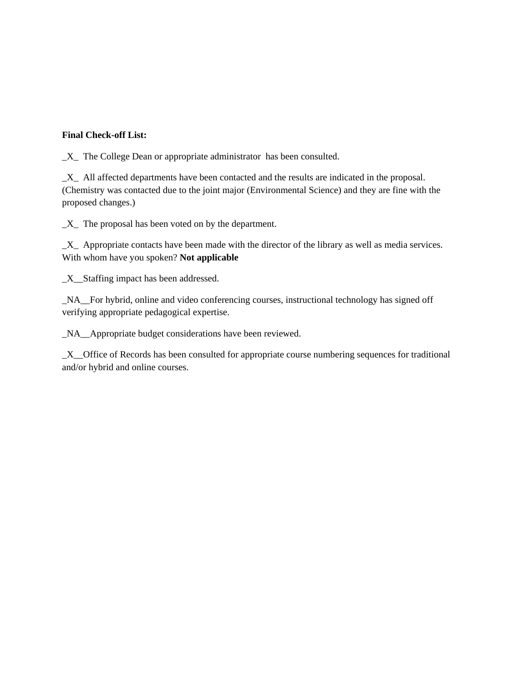## **Final Check-off List:**

\_X\_ The College Dean or appropriate administrator has been consulted.

\_X\_ All affected departments have been contacted and the results are indicated in the proposal. (Chemistry was contacted due to the joint major (Environmental Science) and they are fine with the proposed changes.)

 $X$  The proposal has been voted on by the department.

\_X\_ Appropriate contacts have been made with the director of the library as well as media services. With whom have you spoken? **Not applicable**

\_X\_\_Staffing impact has been addressed.

\_NA\_\_For hybrid, online and video conferencing courses, instructional technology has signed off verifying appropriate pedagogical expertise.

\_NA\_\_Appropriate budget considerations have been reviewed.

\_X\_\_Office of Records has been consulted for appropriate course numbering sequences for traditional and/or hybrid and online courses.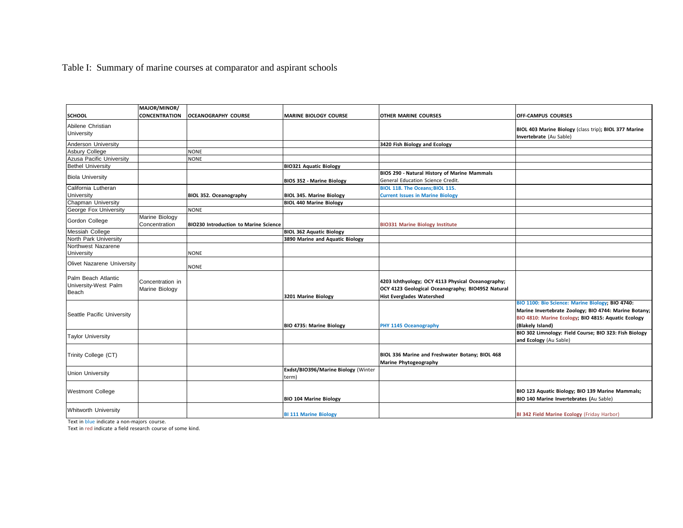# Table I: Summary of marine courses at comparator and aspirant schools

|                                                      | MAJOR/MINOR/                       |                                              |                                              |                                                                                                                                            |                                                                                                                                                                                      |
|------------------------------------------------------|------------------------------------|----------------------------------------------|----------------------------------------------|--------------------------------------------------------------------------------------------------------------------------------------------|--------------------------------------------------------------------------------------------------------------------------------------------------------------------------------------|
| <b>SCHOOL</b>                                        | <b>CONCENTRATION</b>               | <b>OCEANOGRAPHY COURSE</b>                   | <b>MARINE BIOLOGY COURSE</b>                 | <b>OTHER MARINE COURSES</b>                                                                                                                | <b>OFF-CAMPUS COURSES</b>                                                                                                                                                            |
| Abilene Christian<br>University                      |                                    |                                              |                                              |                                                                                                                                            | BIOL 403 Marine Biology (class trip); BIOL 377 Marine<br>Invertebrate (Au Sable)                                                                                                     |
| Anderson University                                  |                                    |                                              |                                              | 3420 Fish Biology and Ecology                                                                                                              |                                                                                                                                                                                      |
| <b>Asbury College</b>                                |                                    | <b>NONE</b>                                  |                                              |                                                                                                                                            |                                                                                                                                                                                      |
| Azusa Pacific University                             |                                    | <b>NONE</b>                                  |                                              |                                                                                                                                            |                                                                                                                                                                                      |
| <b>Bethel University</b>                             |                                    |                                              | <b>BIO321 Aquatic Biology</b>                |                                                                                                                                            |                                                                                                                                                                                      |
| <b>Biola University</b>                              |                                    |                                              | <b>BIOS 352 - Marine Biology</b>             | BIOS 290 - Natural History of Marine Mammals<br>General Education Science Credit.                                                          |                                                                                                                                                                                      |
| California Lutheran                                  |                                    |                                              |                                              | BIOL 118. The Oceans; BIOL 115.                                                                                                            |                                                                                                                                                                                      |
| <b>University</b>                                    |                                    | BIOL 352. Oceanography                       | <b>BIOL 345. Marine Biology</b>              | <b>Current Issues in Marine Biology</b>                                                                                                    |                                                                                                                                                                                      |
| Chapman University                                   |                                    |                                              | <b>BIOL 440 Marine Biology</b>               |                                                                                                                                            |                                                                                                                                                                                      |
| George Fox University                                |                                    | <b>NONE</b>                                  |                                              |                                                                                                                                            |                                                                                                                                                                                      |
| Gordon College                                       | Marine Biology<br>Concentration    | <b>BIO230 Introduction to Marine Science</b> |                                              | <b>BIO331 Marine Biology Institute</b>                                                                                                     |                                                                                                                                                                                      |
| <b>Messiah College</b>                               |                                    |                                              | <b>BIOL 362 Aquatic Biology</b>              |                                                                                                                                            |                                                                                                                                                                                      |
| North Park University                                |                                    |                                              | 3890 Marine and Aquatic Biology              |                                                                                                                                            |                                                                                                                                                                                      |
| Northwest Nazarene<br><b>University</b>              |                                    | <b>NONE</b>                                  |                                              |                                                                                                                                            |                                                                                                                                                                                      |
| Olivet Nazarene University                           |                                    | <b>NONE</b>                                  |                                              |                                                                                                                                            |                                                                                                                                                                                      |
| Palm Beach Atlantic<br>University-West Palm<br>Beach | Concentration in<br>Marine Biology |                                              | 3201 Marine Biology                          | 4203 Ichthyology; OCY 4113 Physical Oceanography;<br>OCY 4123 Geological Oceanography; BIO4952 Natural<br><b>Hist Everglades Watershed</b> |                                                                                                                                                                                      |
| Seattle Pacific University                           |                                    |                                              | BIO 4735: Marine Biology                     | PHY 1145 Oceanography                                                                                                                      | BIO 1100: Bio Science: Marine Biology; BIO 4740:<br>Marine Invertebrate Zoology; BIO 4744: Marine Botany;<br>BIO 4810: Marine Ecology; BIO 4815: Aquatic Ecology<br>(Blakely Island) |
| <b>Taylor University</b>                             |                                    |                                              |                                              |                                                                                                                                            | BIO 302 Limnology: Field Course; BIO 323: Fish Biology<br>and Ecology (Au Sable)                                                                                                     |
| Trinity College (CT)                                 |                                    |                                              |                                              | BIOL 336 Marine and Freshwater Botany; BIOL 468<br>Marine Phytogeography                                                                   |                                                                                                                                                                                      |
| <b>Union University</b>                              |                                    |                                              | Exdst/BIO396/Marine Biology (Winter<br>term) |                                                                                                                                            |                                                                                                                                                                                      |
| <b>Westmont College</b>                              |                                    |                                              | <b>BIO 104 Marine Biology</b>                |                                                                                                                                            | BIO 123 Aquatic Biology; BIO 139 Marine Mammals;<br>BIO 140 Marine Invertebrates (Au Sable)                                                                                          |
| <b>Whitworth University</b>                          |                                    |                                              | <b>BI 111 Marine Biology</b>                 |                                                                                                                                            | BI 342 Field Marine Ecology (Friday Harbor)                                                                                                                                          |

Text in blue indicate a non-majors course.

Text in red indicate a field research course of some kind.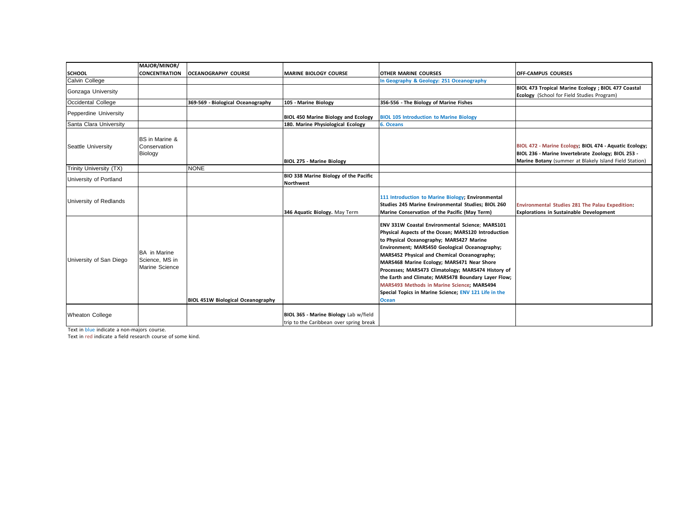|                         | MAJOR/MINOR/                                            |                                          |                                                                                  |                                                                                                                                                                                                                                                                                                                                                                                                                                                                                                                                      |                                                                                                                                                                        |
|-------------------------|---------------------------------------------------------|------------------------------------------|----------------------------------------------------------------------------------|--------------------------------------------------------------------------------------------------------------------------------------------------------------------------------------------------------------------------------------------------------------------------------------------------------------------------------------------------------------------------------------------------------------------------------------------------------------------------------------------------------------------------------------|------------------------------------------------------------------------------------------------------------------------------------------------------------------------|
| <b>SCHOOL</b>           | <b>CONCENTRATION</b>                                    | <b>OCEANOGRAPHY COURSE</b>               | <b>MARINE BIOLOGY COURSE</b>                                                     | <b>OTHER MARINE COURSES</b>                                                                                                                                                                                                                                                                                                                                                                                                                                                                                                          | <b>OFF-CAMPUS COURSES</b>                                                                                                                                              |
| Calvin College          |                                                         |                                          |                                                                                  | In Geography & Geology: 251 Oceanography                                                                                                                                                                                                                                                                                                                                                                                                                                                                                             |                                                                                                                                                                        |
| Gonzaga University      |                                                         |                                          |                                                                                  |                                                                                                                                                                                                                                                                                                                                                                                                                                                                                                                                      | BIOL 473 Tropical Marine Ecology ; BIOL 477 Coastal                                                                                                                    |
|                         |                                                         |                                          |                                                                                  |                                                                                                                                                                                                                                                                                                                                                                                                                                                                                                                                      | Ecology (School for Field Studies Program)                                                                                                                             |
| Occidental College      |                                                         | 369-569 - Biological Oceanography        | 105 - Marine Biology                                                             | 356-556 - The Biology of Marine Fishes                                                                                                                                                                                                                                                                                                                                                                                                                                                                                               |                                                                                                                                                                        |
| Pepperdine University   |                                                         |                                          | <b>BIOL 450 Marine Biology and Ecology</b>                                       | <b>BIOL 105 Introduction to Marine Biology</b>                                                                                                                                                                                                                                                                                                                                                                                                                                                                                       |                                                                                                                                                                        |
| Santa Clara University  |                                                         |                                          | 180. Marine Physiological Ecology                                                | 6. Oceans                                                                                                                                                                                                                                                                                                                                                                                                                                                                                                                            |                                                                                                                                                                        |
| Seattle University      | <b>BS</b> in Marine &<br>Conservation<br>Biology        |                                          | <b>BIOL 275 - Marine Biology</b>                                                 |                                                                                                                                                                                                                                                                                                                                                                                                                                                                                                                                      | BIOL 472 - Marine Ecology: BIOL 474 - Aquatic Ecology;<br>BIOL 236 - Marine Invertebrate Zoology; BIOL 253 -<br>Marine Botany (summer at Blakely Island Field Station) |
| Trinity University (TX) |                                                         | <b>NONE</b>                              |                                                                                  |                                                                                                                                                                                                                                                                                                                                                                                                                                                                                                                                      |                                                                                                                                                                        |
| University of Portland  |                                                         |                                          | BIO 338 Marine Biology of the Pacific<br><b>Northwest</b>                        |                                                                                                                                                                                                                                                                                                                                                                                                                                                                                                                                      |                                                                                                                                                                        |
| University of Redlands  |                                                         |                                          | 346 Aquatic Biology. May Term                                                    | 111 Introduction to Marine Biology; Environmental<br>Studies 245 Marine Environmental Studies; BIOL 260<br>Marine Conservation of the Pacific (May Term)                                                                                                                                                                                                                                                                                                                                                                             | Environmental Studies 281 The Palau Expedition:<br><b>Explorations in Sustainable Development</b>                                                                      |
| University of San Diego | <b>BA</b> in Marine<br>Science, MS in<br>Marine Science | <b>BIOL 451W Biological Oceanography</b> |                                                                                  | ENV 331W Coastal Environmental Science; MARS101<br>Physical Aspects of the Ocean; MARS120 Introduction<br>to Physical Oceanography; MARS427 Marine<br>Environment; MARS450 Geological Oceanography;<br>MARS452 Physical and Chemical Oceanography;<br>MARS468 Marine Ecology; MARS471 Near Shore<br>Processes; MARS473 Climatology; MARS474 History of<br>the Earth and Climate; MARS478 Boundary Layer Flow;<br>MARS493 Methods in Marine Science; MARS494<br>Special Topics in Marine Science; ENV 121 Life in the<br><b>Ocean</b> |                                                                                                                                                                        |
| <b>Wheaton College</b>  |                                                         |                                          | BIOL 365 - Marine Biology Lab w/field<br>trip to the Caribbean over spring break |                                                                                                                                                                                                                                                                                                                                                                                                                                                                                                                                      |                                                                                                                                                                        |

Text in blue indicate a non-majors course.

Text in red indicate a field research course of some kind.